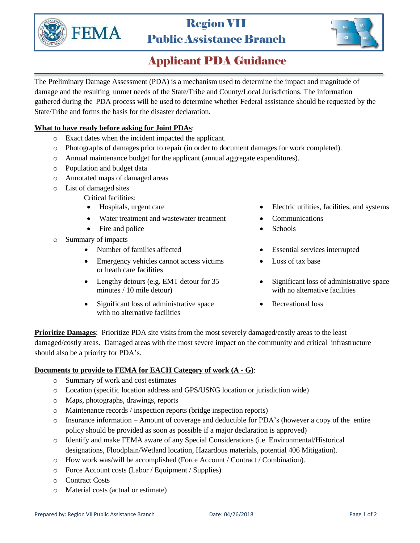

# Region VII Public Assistance Branch



### Applicant PDA Guidance

The Preliminary Damage Assessment (PDA) is a mechanism used to determine the impact and magnitude of damage and the resulting unmet needs of the State/Tribe and County/Local Jurisdictions. The information gathered during the PDA process will be used to determine whether Federal assistance should be requested by the State/Tribe and forms the basis for the disaster declaration.

#### **What to have ready before asking for Joint PDAs**:

- o Exact dates when the incident impacted the applicant.
- o Photographs of damages prior to repair (in order to document damages for work completed).
- o Annual maintenance budget for the applicant (annual aggregate expenditures).
- o Population and budget data
- o Annotated maps of damaged areas
- o List of damaged sites
	- Critical facilities:
	-
	- Water treatment and wastewater treatment Communications
	- Fire and police Schools
- o Summary of impacts
	-
	- Emergency vehicles cannot access victims or heath care facilities
	- Lengthy detours (e.g. EMT detour for 35 minutes / 10 mile detour)
	- Significant loss of administrative space with no alternative facilities
- Hospitals, urgent care **Electric utilities**, facilities, and systems
	-
	-
- Number of families affected Essential services interrupted
	- Loss of tax base
	- Significant loss of administrative space with no alternative facilities
	- Recreational loss

**Prioritize Damages:** Prioritize PDA site visits from the most severely damaged/costly areas to the least damaged/costly areas. Damaged areas with the most severe impact on the community and critical infrastructure should also be a priority for PDA's.

#### **Documents to provide to FEMA for EACH Category of work (A - G)**:

- o Summary of work and cost estimates
- o Location (specific location address and GPS/USNG location or jurisdiction wide)
- o Maps, photographs, drawings, reports
- o Maintenance records / inspection reports (bridge inspection reports)
- o Insurance information Amount of coverage and deductible for PDA's (however a copy of the entire policy should be provided as soon as possible if a major declaration is approved)
- o Identify and make FEMA aware of any Special Considerations (i.e. Environmental/Historical designations, Floodplain/Wetland location, Hazardous materials, potential 406 Mitigation).
- o How work was/will be accomplished (Force Account / Contract / Combination).
- o Force Account costs (Labor / Equipment / Supplies)
- o Contract Costs
- o Material costs (actual or estimate)